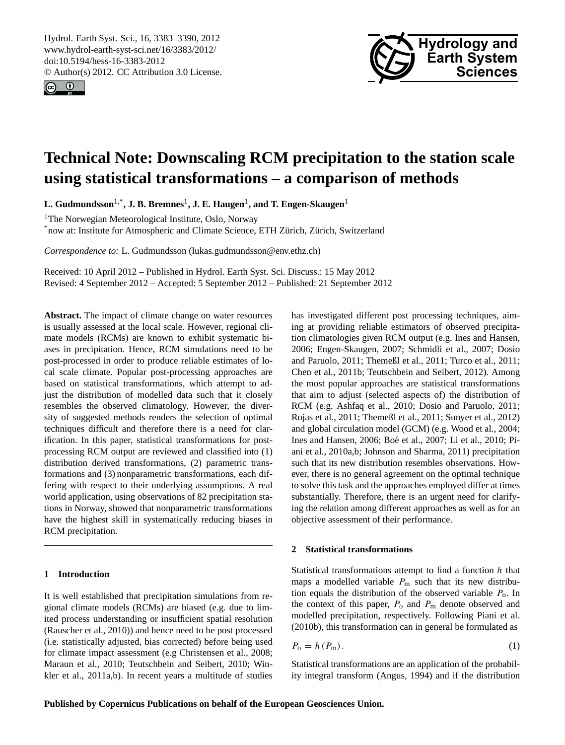<span id="page-0-1"></span>Hydrol. Earth Syst. Sci., 16, 3383–3390, 2012 www.hydrol-earth-syst-sci.net/16/3383/2012/ doi:10.5194/hess-16-3383-2012 © Author(s) 2012. CC Attribution 3.0 License.





# **Technical Note: Downscaling RCM precipitation to the station scale using statistical transformations – a comparison of methods**

**L. Gudmundsson**1,\***, J. B. Bremnes**<sup>1</sup> **, J. E. Haugen**<sup>1</sup> **, and T. Engen-Skaugen**<sup>1</sup>

<sup>1</sup>The Norwegian Meteorological Institute, Oslo, Norway

\*now at: Institute for Atmospheric and Climate Science, ETH Zürich, Zürich, Switzerland

*Correspondence to:* L. Gudmundsson (lukas.gudmundsson@env.ethz.ch)

Received: 10 April 2012 – Published in Hydrol. Earth Syst. Sci. Discuss.: 15 May 2012 Revised: 4 September 2012 – Accepted: 5 September 2012 – Published: 21 September 2012

**Abstract.** The impact of climate change on water resources is usually assessed at the local scale. However, regional climate models (RCMs) are known to exhibit systematic biases in precipitation. Hence, RCM simulations need to be post-processed in order to produce reliable estimates of local scale climate. Popular post-processing approaches are based on statistical transformations, which attempt to adjust the distribution of modelled data such that it closely resembles the observed climatology. However, the diversity of suggested methods renders the selection of optimal techniques difficult and therefore there is a need for clarification. In this paper, statistical transformations for postprocessing RCM output are reviewed and classified into (1) distribution derived transformations, (2) parametric transformations and (3) nonparametric transformations, each differing with respect to their underlying assumptions. A real world application, using observations of 82 precipitation stations in Norway, showed that nonparametric transformations have the highest skill in systematically reducing biases in RCM precipitation.

## **1 Introduction**

It is well established that precipitation simulations from regional climate models (RCMs) are biased (e.g. due to limited process understanding or insufficient spatial resolution [\(Rauscher et al.,](#page-6-0) [2010\)](#page-6-0)) and hence need to be post processed (i.e. statistically adjusted, bias corrected) before being used for climate impact assessment (e.g [Christensen et al.,](#page-6-1) [2008;](#page-6-1) [Maraun et al.,](#page-6-2) [2010;](#page-6-2) [Teutschbein and Seibert,](#page-7-0) [2010;](#page-7-0) [Win](#page-7-1)[kler et al.,](#page-7-1) [2011a,](#page-7-1)[b\)](#page-7-2). In recent years a multitude of studies has investigated different post processing techniques, aiming at providing reliable estimators of observed precipitation climatologies given RCM output (e.g. [Ines and Hansen,](#page-6-3) [2006;](#page-6-3) [Engen-Skaugen,](#page-6-4) [2007;](#page-6-4) [Schmidli et al.,](#page-7-3) [2007;](#page-7-3) [Dosio](#page-6-5) [and Paruolo,](#page-6-5) [2011;](#page-6-5) [Themeßl et al.,](#page-7-4) [2011;](#page-7-4) [Turco et al.,](#page-7-5) [2011;](#page-7-5) [Chen et al.,](#page-6-6) [2011b;](#page-6-6) [Teutschbein and Seibert,](#page-7-6) [2012\)](#page-7-6). Among the most popular approaches are statistical transformations that aim to adjust (selected aspects of) the distribution of RCM (e.g. [Ashfaq et al.,](#page-6-7) [2010;](#page-6-7) [Dosio and Paruolo,](#page-6-5) [2011;](#page-6-5) [Rojas et al.,](#page-7-7) [2011;](#page-7-7) [Themeßl et al.,](#page-7-4) [2011;](#page-7-4) [Sunyer et al.,](#page-7-8) [2012\)](#page-7-8) and global circulation model (GCM) (e.g. [Wood et al.,](#page-7-9) [2004;](#page-7-9) [Ines and Hansen,](#page-6-3) [2006;](#page-6-3) Boé et al., [2007;](#page-6-8) [Li et al.,](#page-6-9) [2010;](#page-6-9) [Pi](#page-6-10)[ani et al.,](#page-6-10) [2010a,](#page-6-10)[b;](#page-6-11) [Johnson and Sharma,](#page-6-12) [2011\)](#page-6-12) precipitation such that its new distribution resembles observations. However, there is no general agreement on the optimal technique to solve this task and the approaches employed differ at times substantially. Therefore, there is an urgent need for clarifying the relation among different approaches as well as for an objective assessment of their performance.

## **2 Statistical transformations**

Statistical transformations attempt to find a function  $h$  that maps a modelled variable  $P_m$  such that its new distribution equals the distribution of the observed variable  $P_0$ . In the context of this paper,  $P_0$  and  $P_m$  denote observed and modelled precipitation, respectively. Following [Piani et al.](#page-6-11) [\(2010b\)](#page-6-11), this transformation can in general be formulated as

<span id="page-0-0"></span>
$$
P_{\rm o} = h(P_{\rm m}).\tag{1}
$$

Statistical transformations are an application of the probability integral transform [\(Angus,](#page-6-13) [1994\)](#page-6-13) and if the distribution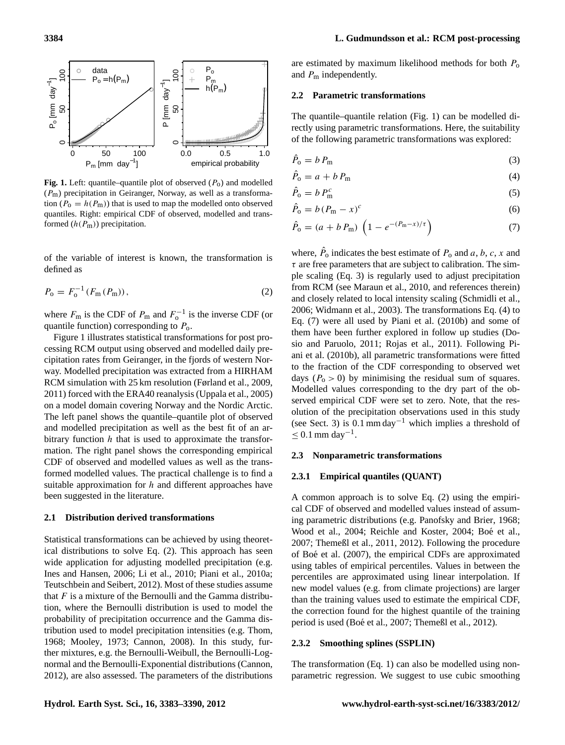

<span id="page-1-0"></span>**Fig. 1.** Left: quantile–quantile plot of observed  $(P_0)$  and modelled  $(P<sub>m</sub>)$  precipitation in Geiranger, Norway, as well as a transformation ( $P_0 = h(P_m)$ ) that is used to map the modelled onto observed quantiles. Right: empirical CDF of observed, modelled and transformed  $(h(P_m))$  precipitation.

<span id="page-1-1"></span>of the variable of interest is known, the transformation is defined as

$$
P_0 = F_0^{-1}(F_m(P_m)),
$$
\n(2)

where  $F_{\text{m}}$  is the CDF of  $P_{\text{m}}$  and  $F_{\text{o}}^{-1}$  is the inverse CDF (or quantile function) corresponding to  $P_0$ .

Figure [1](#page-1-0) illustrates statistical transformations for post processing RCM output using observed and modelled daily precipitation rates from Geiranger, in the fjords of western Norway. Modelled precipitation was extracted from a HIRHAM RCM simulation with 25 km resolution [\(Førland et al.,](#page-6-14) [2009,](#page-6-14) [2011\)](#page-6-15) forced with the ERA40 reanalysis [\(Uppala et al.,](#page-7-10) [2005\)](#page-7-10) on a model domain covering Norway and the Nordic Arctic. The left panel shows the quantile–quantile plot of observed and modelled precipitation as well as the best fit of an arbitrary function  $h$  that is used to approximate the transformation. The right panel shows the corresponding empirical CDF of observed and modelled values as well as the transformed modelled values. The practical challenge is to find a suitable approximation for  $h$  and different approaches have been suggested in the literature.

### <span id="page-1-7"></span>**2.1 Distribution derived transformations**

Statistical transformations can be achieved by using theoretical distributions to solve Eq. [\(2\)](#page-1-1). This approach has seen wide application for adjusting modelled precipitation (e.g. [Ines and Hansen,](#page-6-3) [2006;](#page-6-3) [Li et al.,](#page-6-9) [2010;](#page-6-9) [Piani et al.,](#page-6-10) [2010a;](#page-6-10) [Teutschbein and Seibert,](#page-7-6) [2012\)](#page-7-6). Most of these studies assume that  $F$  is a mixture of the Bernoulli and the Gamma distribution, where the Bernoulli distribution is used to model the probability of precipitation occurrence and the Gamma distribution used to model precipitation intensities (e.g. [Thom,](#page-7-11) [1968;](#page-7-11) [Mooley,](#page-6-16) [1973;](#page-6-16) [Cannon,](#page-6-17) [2008\)](#page-6-17). In this study, further mixtures, e.g. the Bernoulli-Weibull, the Bernoulli-Lognormal and the Bernoulli-Exponential distributions [\(Cannon,](#page-6-18) [2012\)](#page-6-18), are also assessed. The parameters of the distributions are estimated by maximum likelihood methods for both  $P_0$ and  $P_{\rm m}$  independently.

#### <span id="page-1-5"></span>**2.2 Parametric transformations**

The quantile–quantile relation (Fig. [1\)](#page-1-0) can be modelled directly using parametric transformations. Here, the suitability of the following parametric transformations was explored:

<span id="page-1-2"></span>
$$
\hat{P}_0 = b \, P_m \tag{3}
$$

<span id="page-1-3"></span>
$$
\hat{P}_0 = a + b P_m \tag{4}
$$

<span id="page-1-6"></span>
$$
\hat{P}_0 = b P_{\rm m}^c \tag{5}
$$

$$
\hat{P}_0 = b \left( P_{\rm m} - x \right)^c \tag{6}
$$

<span id="page-1-4"></span>
$$
\hat{P}_0 = (a + b \, P_m) \, \left( 1 - e^{-(P_m - x)/\tau} \right) \tag{7}
$$

where,  $\hat{P}_0$  indicates the best estimate of  $P_0$  and  $a, b, c, x$  and  $\tau$  are free parameters that are subject to calibration. The simple scaling (Eq. [3\)](#page-1-2) is regularly used to adjust precipitation from RCM (see [Maraun et al.,](#page-6-2) [2010,](#page-6-2) and references therein) and closely related to local intensity scaling [\(Schmidli et al.,](#page-7-12) [2006;](#page-7-12) [Widmann et al.,](#page-7-13) [2003\)](#page-7-13). The transformations Eq. [\(4\)](#page-1-3) to Eq. [\(7\)](#page-1-4) were all used by [Piani et al.](#page-6-11) [\(2010b\)](#page-6-11) and some of them have been further explored in follow up studies [\(Do](#page-6-5)[sio and Paruolo,](#page-6-5) [2011;](#page-6-5) [Rojas et al.,](#page-7-7) [2011\)](#page-7-7). Following [Pi](#page-6-11)[ani et al.](#page-6-11) [\(2010b\)](#page-6-11), all parametric transformations were fitted to the fraction of the CDF corresponding to observed wet days ( $P_0 > 0$ ) by minimising the residual sum of squares. Modelled values corresponding to the dry part of the observed empirical CDF were set to zero. Note, that the resolution of the precipitation observations used in this study (see Sect. [3\)](#page-2-0) is  $0.1 \text{ mm day}^{-1}$  which implies a threshold of  $≤$  0.1 mm day<sup>-1</sup>.

#### <span id="page-1-8"></span>**2.3 Nonparametric transformations**

#### **2.3.1 Empirical quantiles (QUANT)**

A common approach is to solve Eq. [\(2\)](#page-1-1) using the empirical CDF of observed and modelled values instead of assuming parametric distributions (e.g. [Panofsky and Brier,](#page-6-19) [1968;](#page-6-19) [Wood et al.,](#page-7-9) [2004;](#page-6-20) [Reichle and Koster,](#page-6-20) 2004; Boé et al., [2007;](#page-6-8) [Themeßl et al.,](#page-7-4) [2011,](#page-7-4) [2012\)](#page-7-14). Following the procedure of Boé et al. [\(2007\)](#page-6-8), the empirical CDFs are approximated using tables of empirical percentiles. Values in between the percentiles are approximated using linear interpolation. If new model values (e.g. from climate projections) are larger than the training values used to estimate the empirical CDF, the correction found for the highest quantile of the training period is used (Boé et al., [2007;](#page-6-8) [Themeßl et al.,](#page-7-14) [2012\)](#page-7-14).

#### **2.3.2 Smoothing splines (SSPLIN)**

The transformation (Eq. [1\)](#page-0-0) can also be modelled using nonparametric regression. We suggest to use cubic smoothing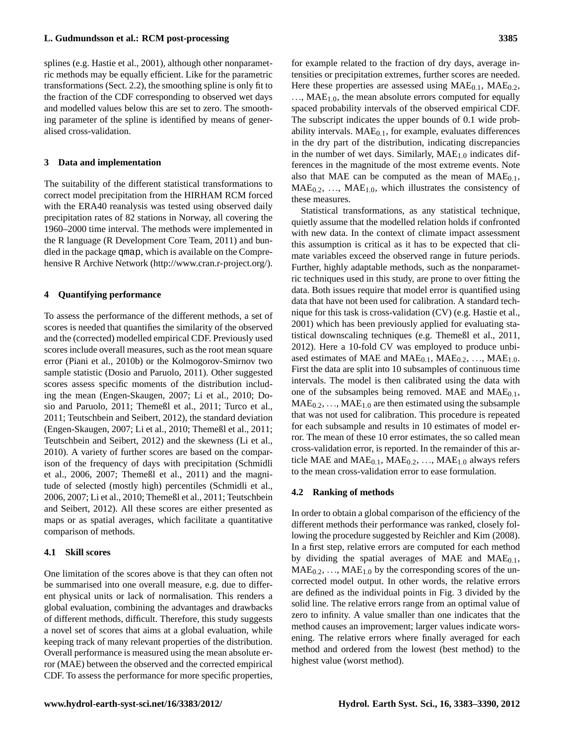splines (e.g. [Hastie et al.,](#page-6-21) [2001\)](#page-6-21), although other nonparametric methods may be equally efficient. Like for the parametric transformations (Sect. [2.2\)](#page-1-5), the smoothing spline is only fit to the fraction of the CDF corresponding to observed wet days and modelled values below this are set to zero. The smoothing parameter of the spline is identified by means of generalised cross-validation.

#### <span id="page-2-0"></span>**3 Data and implementation**

The suitability of the different statistical transformations to correct model precipitation from the HIRHAM RCM forced with the ERA40 reanalysis was tested using observed daily precipitation rates of 82 stations in Norway, all covering the 1960–2000 time interval. The methods were implemented in the R language [\(R Development Core Team,](#page-6-22) [2011\)](#page-6-22) and bundled in the package qmap, which is available on the Comprehensive R Archive Network [\(http://www.cran.r-project.org/\)](http://www.cran.r-project.org/).

#### **4 Quantifying performance**

To assess the performance of the different methods, a set of scores is needed that quantifies the similarity of the observed and the (corrected) modelled empirical CDF. Previously used scores include overall measures, such as the root mean square error [\(Piani et al.,](#page-6-11) [2010b\)](#page-6-11) or the Kolmogorov-Smirnov two sample statistic [\(Dosio and Paruolo,](#page-6-5) [2011\)](#page-6-5). Other suggested scores assess specific moments of the distribution including the mean [\(Engen-Skaugen,](#page-6-4) [2007;](#page-6-4) [Li et al.,](#page-6-9) [2010;](#page-6-9) [Do](#page-6-5)[sio and Paruolo,](#page-6-5) [2011;](#page-6-5) [Themeßl et al.,](#page-7-4) [2011;](#page-7-4) [Turco et al.,](#page-7-5) [2011;](#page-7-5) [Teutschbein and Seibert,](#page-7-6) [2012\)](#page-7-6), the standard deviation [\(Engen-Skaugen,](#page-6-4) [2007;](#page-6-4) [Li et al.,](#page-6-9) [2010;](#page-6-9) [Themeßl et al.,](#page-7-4) [2011;](#page-7-4) [Teutschbein and Seibert,](#page-7-6) [2012\)](#page-7-6) and the skewness [\(Li et al.,](#page-6-9) [2010\)](#page-6-9). A variety of further scores are based on the comparison of the frequency of days with precipitation [\(Schmidli](#page-7-12) [et al.,](#page-7-12) [2006,](#page-7-12) [2007;](#page-7-3) [Themeßl et al.,](#page-7-4) [2011\)](#page-7-4) and the magnitude of selected (mostly high) percentiles [\(Schmidli et al.,](#page-7-12) [2006,](#page-7-12) [2007;](#page-7-3) [Li et al.,](#page-6-9) [2010;](#page-6-9) [Themeßl et al.,](#page-7-4) [2011;](#page-7-4) [Teutschbein](#page-7-6) [and Seibert,](#page-7-6) [2012\)](#page-7-6). All these scores are either presented as maps or as spatial averages, which facilitate a quantitative comparison of methods.

#### **4.1 Skill scores**

One limitation of the scores above is that they can often not be summarised into one overall measure, e.g. due to different physical units or lack of normalisation. This renders a global evaluation, combining the advantages and drawbacks of different methods, difficult. Therefore, this study suggests a novel set of scores that aims at a global evaluation, while keeping track of many relevant properties of the distribution. Overall performance is measured using the mean absolute error (MAE) between the observed and the corrected empirical CDF. To assess the performance for more specific properties,

for example related to the fraction of dry days, average intensities or precipitation extremes, further scores are needed. Here these properties are assessed using  $MAE<sub>0.1</sub>$ ,  $MAE<sub>0.2</sub>$ ,  $..., MAE<sub>1.0</sub>$ , the mean absolute errors computed for equally spaced probability intervals of the observed empirical CDF. The subscript indicates the upper bounds of 0.1 wide probability intervals.  $MAE<sub>0.1</sub>$ , for example, evaluates differences in the dry part of the distribution, indicating discrepancies in the number of wet days. Similarly,  $MAE<sub>1.0</sub>$  indicates differences in the magnitude of the most extreme events. Note also that MAE can be computed as the mean of  $MAE<sub>0.1</sub>$ ,  $MAE<sub>0.2</sub>, ..., MAE<sub>1.0</sub>$ , which illustrates the consistency of these measures.

Statistical transformations, as any statistical technique, quietly assume that the modelled relation holds if confronted with new data. In the context of climate impact assessment this assumption is critical as it has to be expected that climate variables exceed the observed range in future periods. Further, highly adaptable methods, such as the nonparametric techniques used in this study, are prone to over fitting the data. Both issues require that model error is quantified using data that have not been used for calibration. A standard technique for this task is cross-validation (CV) (e.g. [Hastie et al.,](#page-6-21) [2001\)](#page-6-21) which has been previously applied for evaluating statistical downscaling techniques (e.g. [Themeßl et al.,](#page-7-4) [2011,](#page-7-4) [2012\)](#page-7-14). Here a 10-fold CV was employed to produce unbiased estimates of MAE and  $MAE<sub>0.1</sub>$ ,  $MAE<sub>0.2</sub>$ , ...,  $MAE<sub>1.0</sub>$ . First the data are split into 10 subsamples of continuous time intervals. The model is then calibrated using the data with one of the subsamples being removed. MAE and  $MAE<sub>0.1</sub>$ ,  $MAE<sub>0.2</sub>, ..., MAE<sub>1.0</sub>$  are then estimated using the subsample that was not used for calibration. This procedure is repeated for each subsample and results in 10 estimates of model error. The mean of these 10 error estimates, the so called mean cross-validation error, is reported. In the remainder of this article MAE and  $MAE<sub>0.1</sub>$ ,  $MAE<sub>0.2</sub>$ , ...,  $MAE<sub>1.0</sub>$  always refers to the mean cross-validation error to ease formulation.

#### **4.2 Ranking of methods**

In order to obtain a global comparison of the efficiency of the different methods their performance was ranked, closely following the procedure suggested by [Reichler and Kim](#page-6-23) [\(2008\)](#page-6-23). In a first step, relative errors are computed for each method by dividing the spatial averages of MAE and  $MAE<sub>0.1</sub>$ ,  $MAE<sub>0.2</sub>, ..., MAE<sub>1.0</sub>$  by the corresponding scores of the uncorrected model output. In other words, the relative errors are defined as the individual points in Fig. [3](#page-4-0) divided by the solid line. The relative errors range from an optimal value of zero to infinity. A value smaller than one indicates that the method causes an improvement; larger values indicate worsening. The relative errors where finally averaged for each method and ordered from the lowest (best method) to the highest value (worst method).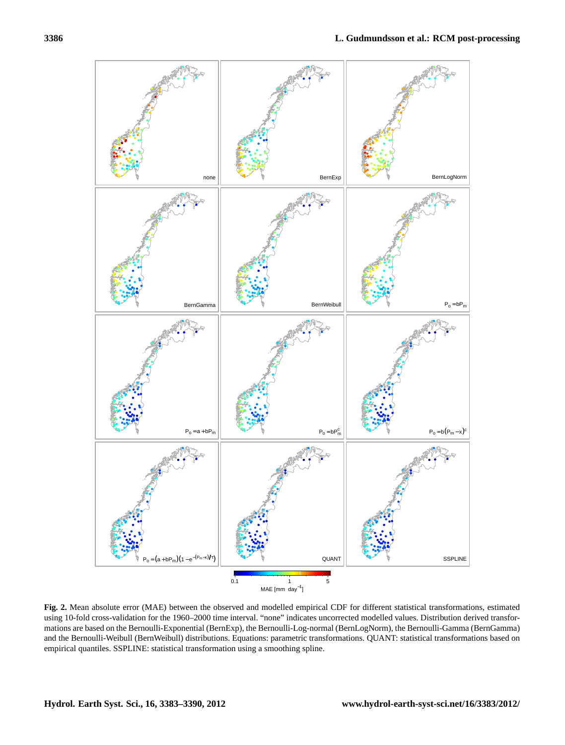

<span id="page-3-0"></span>**Fig. 2.** Mean absolute error (MAE) between the observed and modelled empirical CDF for different statistical transformations, estimated using 10-fold cross-validation for the 1960–2000 time interval. "none" indicates uncorrected modelled values. Distribution derived transformations are based on the Bernoulli-Exponential (BernExp), the Bernoulli-Log-normal (BernLogNorm), the Bernoulli-Gamma (BernGamma) and the Bernoulli-Weibull (BernWeibull) distributions. Equations: parametric transformations. QUANT: statistical transformations based on empirical quantiles. SSPLINE: statistical transformation using a smoothing spline.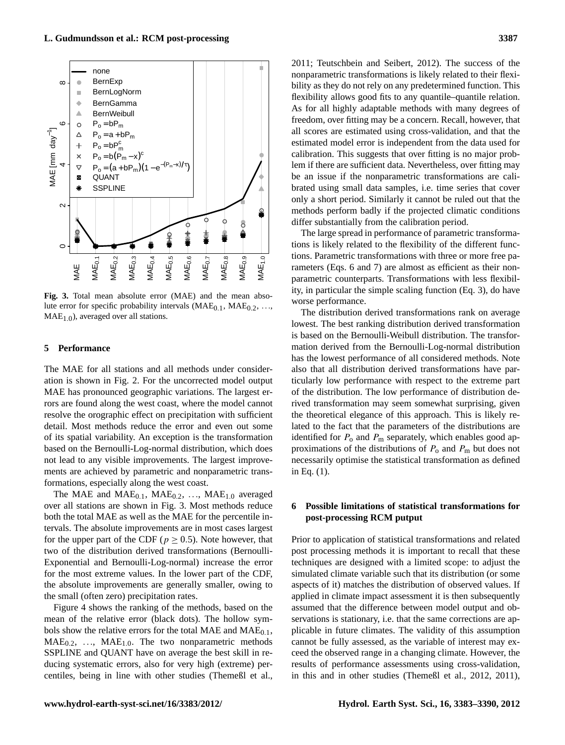

<span id="page-4-0"></span>**Fig. 3.** Total mean absolute error (MAE) and the mean absolute error for specific probability intervals  $(MAE_{0.1}, MAE_{0.2}, ...,$  $MAE<sub>1.0</sub>$ ), averaged over all stations.

#### **5 Performance**

The MAE for all stations and all methods under consideration is shown in Fig. [2.](#page-3-0) For the uncorrected model output MAE has pronounced geographic variations. The largest errors are found along the west coast, where the model cannot resolve the orographic effect on precipitation with sufficient detail. Most methods reduce the error and even out some of its spatial variability. An exception is the transformation based on the Bernoulli-Log-normal distribution, which does not lead to any visible improvements. The largest improvements are achieved by parametric and nonparametric transformations, especially along the west coast.

The MAE and  $MAE<sub>0.1</sub>$ ,  $MAE<sub>0.2</sub>$ , ...,  $MAE<sub>1.0</sub>$  averaged over all stations are shown in Fig. [3.](#page-4-0) Most methods reduce both the total MAE as well as the MAE for the percentile intervals. The absolute improvements are in most cases largest for the upper part of the CDF ( $p \ge 0.5$ ). Note however, that two of the distribution derived transformations (Bernoulli-Exponential and Bernoulli-Log-normal) increase the error for the most extreme values. In the lower part of the CDF, the absolute improvements are generally smaller, owing to the small (often zero) precipitation rates.

Figure [4](#page-5-0) shows the ranking of the methods, based on the mean of the relative error (black dots). The hollow symbols show the relative errors for the total MAE and  $MAE_{0.1}$ ,  $MAE<sub>0.2</sub>, ..., MAE<sub>1.0</sub>$ . The two nonparametric methods SSPLINE and QUANT have on average the best skill in reducing systematic errors, also for very high (extreme) percentiles, being in line with other studies [\(Themeßl et al.,](#page-7-4) [2011;](#page-7-4) [Teutschbein and Seibert,](#page-7-6) [2012\)](#page-7-6). The success of the nonparametric transformations is likely related to their flexibility as they do not rely on any predetermined function. This flexibility allows good fits to any quantile–quantile relation. As for all highly adaptable methods with many degrees of freedom, over fitting may be a concern. Recall, however, that all scores are estimated using cross-validation, and that the estimated model error is independent from the data used for calibration. This suggests that over fitting is no major problem if there are sufficient data. Nevertheless, over fitting may be an issue if the nonparametric transformations are calibrated using small data samples, i.e. time series that cover only a short period. Similarly it cannot be ruled out that the methods perform badly if the projected climatic conditions differ substantially from the calibration period.

The large spread in performance of parametric transformations is likely related to the flexibility of the different functions. Parametric transformations with three or more free parameters (Eqs. [6](#page-1-6) and [7\)](#page-1-4) are almost as efficient as their nonparametric counterparts. Transformations with less flexibility, in particular the simple scaling function (Eq. [3\)](#page-1-2), do have worse performance.

The distribution derived transformations rank on average lowest. The best ranking distribution derived transformation is based on the Bernoulli-Weibull distribution. The transformation derived from the Bernoulli-Log-normal distribution has the lowest performance of all considered methods. Note also that all distribution derived transformations have particularly low performance with respect to the extreme part of the distribution. The low performance of distribution derived transformation may seem somewhat surprising, given the theoretical elegance of this approach. This is likely related to the fact that the parameters of the distributions are identified for  $P_0$  and  $P_m$  separately, which enables good approximations of the distributions of  $P_0$  and  $P_m$  but does not necessarily optimise the statistical transformation as defined in Eq. [\(1\)](#page-0-0).

## **6 Possible limitations of statistical transformations for post-processing RCM putput**

Prior to application of statistical transformations and related post processing methods it is important to recall that these techniques are designed with a limited scope: to adjust the simulated climate variable such that its distribution (or some aspects of it) matches the distribution of observed values. If applied in climate impact assessment it is then subsequently assumed that the difference between model output and observations is stationary, i.e. that the same corrections are applicable in future climates. The validity of this assumption cannot be fully assessed, as the variable of interest may exceed the observed range in a changing climate. However, the results of performance assessments using cross-validation, in this and in other studies [\(Themeßl et al.,](#page-7-14) [2012,](#page-7-14) [2011\)](#page-7-4),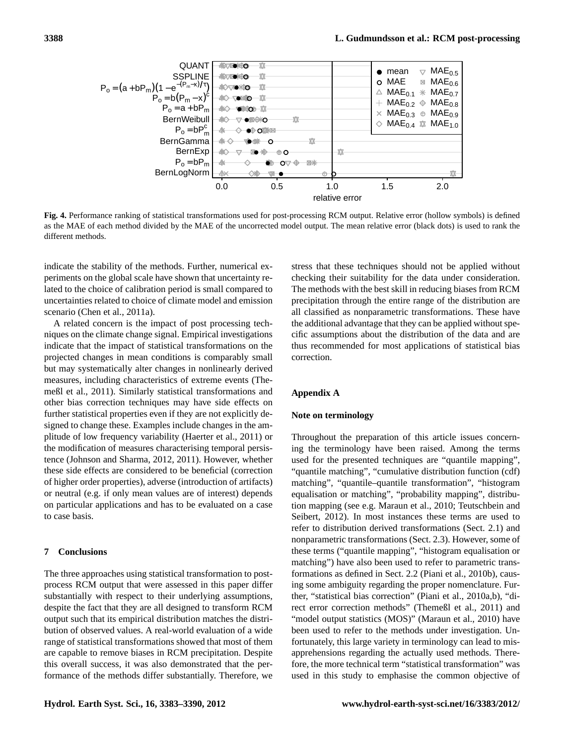

<span id="page-5-0"></span>**Fig. 4.** Performance ranking of statistical transformations used for post-processing RCM output. Relative error (hollow symbols) is defined as the MAE of each method divided by the MAE of the uncorrected model output. The mean relative error (black dots) is used to rank the different methods.

indicate the stability of the methods. Further, numerical experiments on the global scale have shown that uncertainty related to the choice of calibration period is small compared to uncertainties related to choice of climate model and emission scenario [\(Chen et al.,](#page-6-24) [2011a\)](#page-6-24).

A related concern is the impact of post processing techniques on the climate change signal. Empirical investigations indicate that the impact of statistical transformations on the projected changes in mean conditions is comparably small but may systematically alter changes in nonlinearly derived measures, including characteristics of extreme events [\(The](#page-7-4)[meßl et al.,](#page-7-4) [2011\)](#page-7-4). Similarly statistical transformations and other bias correction techniques may have side effects on further statistical properties even if they are not explicitly designed to change these. Examples include changes in the amplitude of low frequency variability [\(Haerter et al.,](#page-6-25) [2011\)](#page-6-25) or the modification of measures characterising temporal persistence [\(Johnson and Sharma,](#page-6-26) [2012,](#page-6-26) [2011\)](#page-6-12). However, whether these side effects are considered to be beneficial (correction of higher order properties), adverse (introduction of artifacts) or neutral (e.g. if only mean values are of interest) depends on particular applications and has to be evaluated on a case to case basis.

### **7 Conclusions**

The three approaches using statistical transformation to postprocess RCM output that were assessed in this paper differ substantially with respect to their underlying assumptions, despite the fact that they are all designed to transform RCM output such that its empirical distribution matches the distribution of observed values. A real-world evaluation of a wide range of statistical transformations showed that most of them are capable to remove biases in RCM precipitation. Despite this overall success, it was also demonstrated that the performance of the methods differ substantially. Therefore, we stress that these techniques should not be applied without checking their suitability for the data under consideration. The methods with the best skill in reducing biases from RCM precipitation through the entire range of the distribution are all classified as nonparametric transformations. These have the additional advantage that they can be applied without specific assumptions about the distribution of the data and are thus recommended for most applications of statistical bias correction.

#### **Appendix A**

#### **Note on terminology**

Throughout the preparation of this article issues concerning the terminology have been raised. Among the terms used for the presented techniques are "quantile mapping", "quantile matching", "cumulative distribution function (cdf) matching", "quantile–quantile transformation", "histogram equalisation or matching", "probability mapping", distribution mapping (see e.g. [Maraun et al.,](#page-6-2) [2010;](#page-6-2) [Teutschbein and](#page-7-6) [Seibert,](#page-7-6) [2012\)](#page-7-6). In most instances these terms are used to refer to distribution derived transformations (Sect. [2.1\)](#page-1-7) and nonparametric transformations (Sect. [2.3\)](#page-1-8). However, some of these terms ("quantile mapping", "histogram equalisation or matching") have also been used to refer to parametric transformations as defined in Sect. [2.2](#page-1-5) [\(Piani et al.,](#page-6-11) [2010b\)](#page-6-11), causing some ambiguity regarding the proper nomenclature. Further, "statistical bias correction" [\(Piani et al.,](#page-6-10) [2010a](#page-6-10)[,b\)](#page-6-11), "direct error correction methods" [\(Themeßl et al.,](#page-7-4) [2011\)](#page-7-4) and "model output statistics (MOS)" [\(Maraun et al.,](#page-6-2) [2010\)](#page-6-2) have been used to refer to the methods under investigation. Unfortunately, this large variety in terminology can lead to misapprehensions regarding the actually used methods. Therefore, the more technical term "statistical transformation" was used in this study to emphasise the common objective of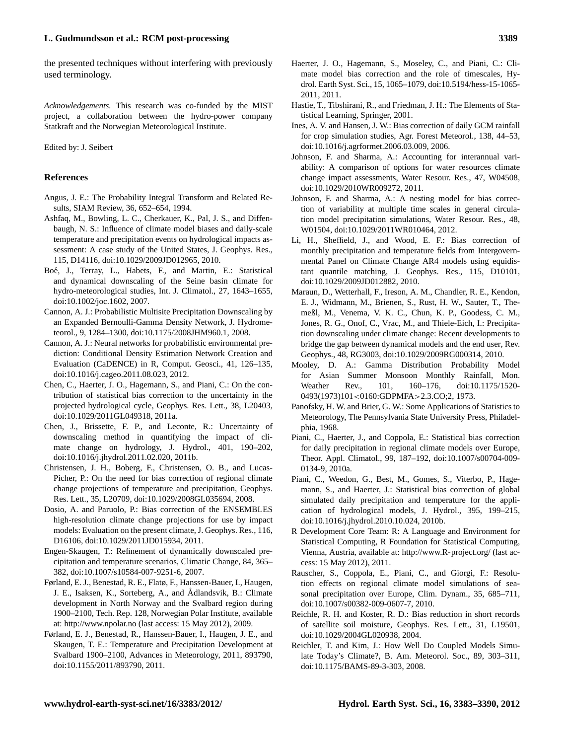the presented techniques without interfering with previously used terminology.

*Acknowledgements.* This research was co-funded by the MIST project, a collaboration between the hydro-power company Statkraft and the Norwegian Meteorological Institute.

Edited by: J. Seibert

#### **References**

- <span id="page-6-13"></span>Angus, J. E.: The Probability Integral Transform and Related Results, SIAM Review, 36, 652–654, 1994.
- <span id="page-6-7"></span>Ashfaq, M., Bowling, L. C., Cherkauer, K., Pal, J. S., and Diffenbaugh, N. S.: Influence of climate model biases and daily-scale temperature and precipitation events on hydrological impacts assessment: A case study of the United States, J. Geophys. Res., 115, D14116, [doi:10.1029/2009JD012965,](http://dx.doi.org/10.1029/2009JD012965) 2010.
- <span id="page-6-8"></span>Boé, J., Terray, L., Habets, F., and Martin, E.: Statistical and dynamical downscaling of the Seine basin climate for hydro-meteorological studies, Int. J. Climatol., 27, 1643–1655, [doi:10.1002/joc.1602,](http://dx.doi.org/10.1002/joc.1602) 2007.
- <span id="page-6-17"></span>Cannon, A. J.: Probabilistic Multisite Precipitation Downscaling by an Expanded Bernoulli-Gamma Density Network, J. Hydrometeorol., 9, 1284–1300, [doi:10.1175/2008JHM960.1,](http://dx.doi.org/10.1175/2008JHM960.1) 2008.
- <span id="page-6-18"></span>Cannon, A. J.: Neural networks for probabilistic environmental prediction: Conditional Density Estimation Network Creation and Evaluation (CaDENCE) in R, Comput. Geosci., 41, 126–135, [doi:10.1016/j.cageo.2011.08.023,](http://dx.doi.org/10.1016/j.cageo.2011.08.023) 2012.
- <span id="page-6-24"></span>Chen, C., Haerter, J. O., Hagemann, S., and Piani, C.: On the contribution of statistical bias correction to the uncertainty in the projected hydrological cycle, Geophys. Res. Lett., 38, L20403, [doi:10.1029/2011GL049318,](http://dx.doi.org/10.1029/2011GL049318) 2011a.
- <span id="page-6-6"></span>Chen, J., Brissette, F. P., and Leconte, R.: Uncertainty of downscaling method in quantifying the impact of climate change on hydrology, J. Hydrol., 401, 190–202, [doi:10.1016/j.jhydrol.2011.02.020,](http://dx.doi.org/10.1016/j.jhydrol.2011.02.020) 2011b.
- <span id="page-6-1"></span>Christensen, J. H., Boberg, F., Christensen, O. B., and Lucas-Picher, P.: On the need for bias correction of regional climate change projections of temperature and precipitation, Geophys. Res. Lett., 35, L20709, [doi:10.1029/2008GL035694,](http://dx.doi.org/10.1029/2008GL035694) 2008.
- <span id="page-6-5"></span>Dosio, A. and Paruolo, P.: Bias correction of the ENSEMBLES high-resolution climate change projections for use by impact models: Evaluation on the present climate, J. Geophys. Res., 116, D16106, [doi:10.1029/2011JD015934,](http://dx.doi.org/10.1029/2011JD015934) 2011.
- <span id="page-6-4"></span>Engen-Skaugen, T.: Refinement of dynamically downscaled precipitation and temperature scenarios, Climatic Change, 84, 365– 382, [doi:10.1007/s10584-007-9251-6,](http://dx.doi.org/10.1007/s10584-007-9251-6) 2007.
- <span id="page-6-14"></span>Førland, E. J., Benestad, R. E., Flatø, F., Hanssen-Bauer, I., Haugen, J. E., Isaksen, K., Sorteberg, A., and Ådlandsvik, B.: Climate development in North Norway and the Svalbard region during 1900–2100, Tech. Rep. 128, Norwegian Polar Institute, available at: <http://www.npolar.no> (last access: 15 May 2012), 2009.
- <span id="page-6-15"></span>Førland, E. J., Benestad, R., Hanssen-Bauer, I., Haugen, J. E., and Skaugen, T. E.: Temperature and Precipitation Development at Svalbard 1900–2100, Advances in Meteorology, 2011, 893790, [doi:10.1155/2011/893790,](http://dx.doi.org/10.1155/2011/893790) 2011.
- <span id="page-6-25"></span>Haerter, J. O., Hagemann, S., Moseley, C., and Piani, C.: Climate model bias correction and the role of timescales, Hydrol. Earth Syst. Sci., 15, 1065–1079, [doi:10.5194/hess-15-1065-](http://dx.doi.org/10.5194/hess-15-1065-2011) [2011,](http://dx.doi.org/10.5194/hess-15-1065-2011) 2011.
- <span id="page-6-21"></span>Hastie, T., Tibshirani, R., and Friedman, J. H.: The Elements of Statistical Learning, Springer, 2001.
- <span id="page-6-3"></span>Ines, A. V. and Hansen, J. W.: Bias correction of daily GCM rainfall for crop simulation studies, Agr. Forest Meteorol., 138, 44–53, [doi:10.1016/j.agrformet.2006.03.009,](http://dx.doi.org/10.1016/j.agrformet.2006.03.009) 2006.
- <span id="page-6-12"></span>Johnson, F. and Sharma, A.: Accounting for interannual variability: A comparison of options for water resources climate change impact assessments, Water Resour. Res., 47, W04508, [doi:10.1029/2010WR009272,](http://dx.doi.org/10.1029/2010WR009272) 2011.
- <span id="page-6-26"></span>Johnson, F. and Sharma, A.: A nesting model for bias correction of variability at multiple time scales in general circulation model precipitation simulations, Water Resour. Res., 48, W01504, [doi:10.1029/2011WR010464,](http://dx.doi.org/10.1029/2011WR010464) 2012.
- <span id="page-6-9"></span>Li, H., Sheffield, J., and Wood, E. F.: Bias correction of monthly precipitation and temperature fields from Intergovernmental Panel on Climate Change AR4 models using equidistant quantile matching, J. Geophys. Res., 115, D10101, [doi:10.1029/2009JD012882,](http://dx.doi.org/10.1029/2009JD012882) 2010.
- <span id="page-6-2"></span>Maraun, D., Wetterhall, F., Ireson, A. M., Chandler, R. E., Kendon, E. J., Widmann, M., Brienen, S., Rust, H. W., Sauter, T., Themeßl, M., Venema, V. K. C., Chun, K. P., Goodess, C. M., Jones, R. G., Onof, C., Vrac, M., and Thiele-Eich, I.: Precipitation downscaling under climate change: Recent developments to bridge the gap between dynamical models and the end user, Rev. Geophys., 48, RG3003, [doi:10.1029/2009RG000314,](http://dx.doi.org/10.1029/2009RG000314) 2010.
- <span id="page-6-16"></span>Mooley, D. A.: Gamma Distribution Probability Model for Asian Summer Monsoon Monthly Rainfall, Mon. Weather Rev., 101, 160–176, [doi:10.1175/1520-](http://dx.doi.org/10.1175/1520-0493(1973)101<0160:GDPMFA>2.3.CO;2) 0493(1973)101<[0160:GDPMFA](http://dx.doi.org/10.1175/1520-0493(1973)101<0160:GDPMFA>2.3.CO;2)>2.3.CO;2, 1973.
- <span id="page-6-19"></span>Panofsky, H. W. and Brier, G. W.: Some Applications of Statistics to Meteorology, The Pennsylvania State University Press, Philadelphia, 1968.
- <span id="page-6-10"></span>Piani, C., Haerter, J., and Coppola, E.: Statistical bias correction for daily precipitation in regional climate models over Europe, Theor. Appl. Climatol., 99, 187–192, [doi:10.1007/s00704-009-](http://dx.doi.org/10.1007/s00704-009-0134-9) [0134-9,](http://dx.doi.org/10.1007/s00704-009-0134-9) 2010a.
- <span id="page-6-11"></span>Piani, C., Weedon, G., Best, M., Gomes, S., Viterbo, P., Hagemann, S., and Haerter, J.: Statistical bias correction of global simulated daily precipitation and temperature for the application of hydrological models, J. Hydrol., 395, 199–215, [doi:10.1016/j.jhydrol.2010.10.024,](http://dx.doi.org/10.1016/j.jhydrol.2010.10.024) 2010b.
- <span id="page-6-22"></span>R Development Core Team: R: A Language and Environment for Statistical Computing, R Foundation for Statistical Computing, Vienna, Austria, available at: <http://www.R-project.org/> (last access: 15 May 2012), 2011.
- <span id="page-6-0"></span>Rauscher, S., Coppola, E., Piani, C., and Giorgi, F.: Resolution effects on regional climate model simulations of seasonal precipitation over Europe, Clim. Dynam., 35, 685–711, [doi:10.1007/s00382-009-0607-7,](http://dx.doi.org/10.1007/s00382-009-0607-7) 2010.
- <span id="page-6-20"></span>Reichle, R. H. and Koster, R. D.: Bias reduction in short records of satellite soil moisture, Geophys. Res. Lett., 31, L19501, [doi:10.1029/2004GL020938,](http://dx.doi.org/10.1029/2004GL020938) 2004.
- <span id="page-6-23"></span>Reichler, T. and Kim, J.: How Well Do Coupled Models Simulate Today's Climate?, B. Am. Meteorol. Soc., 89, 303–311, [doi:10.1175/BAMS-89-3-303,](http://dx.doi.org/10.1175/BAMS-89-3-303) 2008.